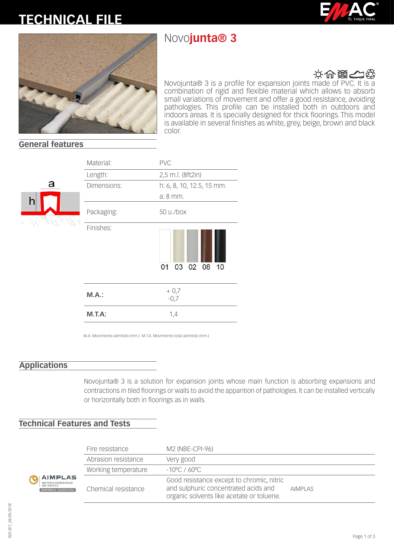# **TECHNICAL FILE**

## Novo**junta® 3**





## 文世器の

Novojunta® 3 is a profile for expansion joints made of PVC. It is a combination of rigid and flexible material which allows to absorb small variations of movement and offer a good resistance, avoiding pathologies. This profile can be installed both in outdoors and indoors areas. It is specially designed for thick floorings. This model is available in several finishes as white, grey, beige, brown and black color.

#### **General features**



| Material:   | <b>PVC</b>                |
|-------------|---------------------------|
| Length:     | 2,5 m.l. (8ft2in)         |
| Dimensions: | h: 6, 8, 10, 12.5, 15 mm. |
|             | a: 8 mm.                  |
| Packaging:  | 50 u./box                 |
| Finishes:   | 03 02 08 10<br>01         |
| M.A.:       | $+0,7$<br>$-0,7$          |
| $M.T.A$ :   | 1,4                       |

M.A: Movimiento admitido (mm.) M.T.A: Movimiento total admitido (mm.)

## **Applications**

Novojunta® 3 is a solution for expansion joints whose main function is absorbing expansions and contractions in tiled floorings or walls to avoid the apparition of pathologies. It can be installed vertically or horizontally both in floorings as in walls.

## **Technical Features and Tests**

| <b>IPLAS</b><br>) TECNOLÓGICO<br>FICO<br>A ASOCIADA | Fire resistance     | M2 (NBE-CPI-96)                                                                                                                |                |
|-----------------------------------------------------|---------------------|--------------------------------------------------------------------------------------------------------------------------------|----------------|
|                                                     | Abrasion resistance | Very good                                                                                                                      |                |
|                                                     | Working temperature | $-10^{\circ}$ C / 60°C                                                                                                         |                |
|                                                     | Chemical resistance | Good resistance except to chromic, nitric<br>and sulphuric concentrated acids and<br>organic solvents like acetate or toluene. | <b>AIMPLAS</b> |

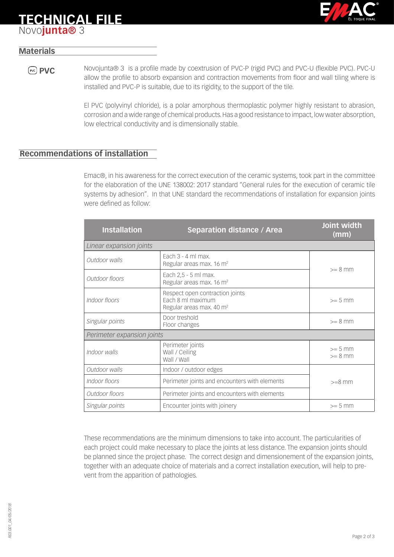

## **TECHNICAL FILE** Novo**junta®** 3

## **Materials**

**PVC** Novojunta® 3 is a profile made by coextrusion of PVC-P (rigid PVC) and PVC-U (flexible PVC). PVC-U allow the profile to absorb expansion and contraction movements from floor and wall tiling where is installed and PVC-P is suitable, due to its rigidity, to the support of the tile.

> El PVC (polyvinyl chloride), is a polar amorphous thermoplastic polymer highly resistant to abrasion, corrosion and a wide range of chemical products. Has a good resistance to impact, low water absorption, low electrical conductivity and is dimensionally stable.

### **Recommendations of installation**

Emac®, in his awareness for the correct execution of the ceramic systems, took part in the committee for the elaboration of the UNE 138002: 2017 standard "General rules for the execution of ceramic tile systems by adhesion". In that UNE standard the recommendations of installation for expansion joints were defined as follow:

| <b>Installation</b>        | <b>Separation distance / Area</b>                                                            | Joint width<br>(mm)    |  |  |
|----------------------------|----------------------------------------------------------------------------------------------|------------------------|--|--|
| Linear expansion joints    |                                                                                              |                        |  |  |
| Outdoor walls              | Fach $3 - 4$ ml max.<br>Regular areas max. 16 m <sup>2</sup>                                 | $>= 8$ mm              |  |  |
| Outdoor floors             | Each 2,5 - 5 ml max.<br>Regular areas max. 16 m <sup>2</sup>                                 |                        |  |  |
| Indoor floors              | Respect open contraction joints<br>Fach 8 ml maximum<br>Regular areas max. 40 m <sup>2</sup> | $>= 5$ mm              |  |  |
| Singular points            | Door treshold<br>Floor changes                                                               | $>= 8$ mm              |  |  |
| Perimeter expansion joints |                                                                                              |                        |  |  |
| Indoor walls               | Perimeter joints<br>Wall / Ceiling<br>Wall / Wall                                            | $>= 5$ mm<br>$>= 8$ mm |  |  |
| Outdoor walls              | Indoor / outdoor edges                                                                       |                        |  |  |
| Indoor floors              | Perimeter joints and encounters with elements                                                | $>=8$ mm               |  |  |
| Outdoor floors             | Perimeter joints and encounters with elements                                                |                        |  |  |
| Singular points            | Encounter joints with joinery                                                                | $>= 5$ mm              |  |  |

These recommendations are the minimum dimensions to take into account. The particularities of each project could make necessary to place the joints at less distance. The expansion joints should be planned since the project phase. The correct design and dimensionement of the expansion joints, together with an adequate choice of materials and a correct installation execution, will help to prevent from the apparition of pathologies.